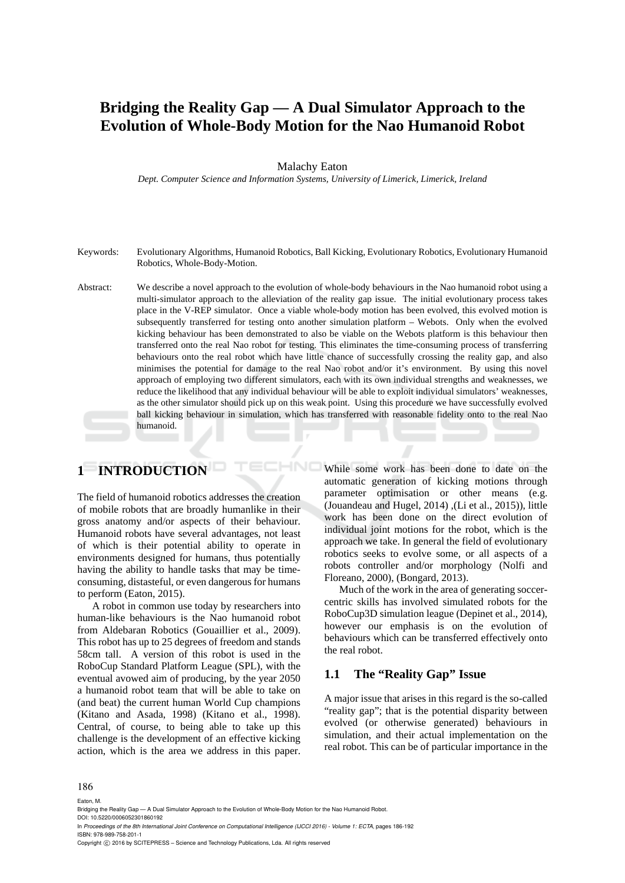# **Bridging the Reality Gap — A Dual Simulator Approach to the Evolution of Whole-Body Motion for the Nao Humanoid Robot**

#### Malachy Eaton

*Dept. Computer Science and Information Systems, University of Limerick, Limerick, Ireland* 

- Keywords: Evolutionary Algorithms, Humanoid Robotics, Ball Kicking, Evolutionary Robotics, Evolutionary Humanoid Robotics, Whole-Body-Motion.
- Abstract: We describe a novel approach to the evolution of whole-body behaviours in the Nao humanoid robot using a multi-simulator approach to the alleviation of the reality gap issue. The initial evolutionary process takes place in the V-REP simulator. Once a viable whole-body motion has been evolved, this evolved motion is subsequently transferred for testing onto another simulation platform – Webots. Only when the evolved kicking behaviour has been demonstrated to also be viable on the Webots platform is this behaviour then transferred onto the real Nao robot for testing. This eliminates the time-consuming process of transferring behaviours onto the real robot which have little chance of successfully crossing the reality gap, and also minimises the potential for damage to the real Nao robot and/or it's environment. By using this novel approach of employing two different simulators, each with its own individual strengths and weaknesses, we reduce the likelihood that any individual behaviour will be able to exploit individual simulators' weaknesses, as the other simulator should pick up on this weak point. Using this procedure we have successfully evolved ball kicking behaviour in simulation, which has transferred with reasonable fidelity onto to the real Nao humanoid.

HNC

# **1 INTRODUCTION**

The field of humanoid robotics addresses the creation of mobile robots that are broadly humanlike in their gross anatomy and/or aspects of their behaviour. Humanoid robots have several advantages, not least of which is their potential ability to operate in environments designed for humans, thus potentially having the ability to handle tasks that may be timeconsuming, distasteful, or even dangerous for humans to perform (Eaton, 2015).

A robot in common use today by researchers into human-like behaviours is the Nao humanoid robot from Aldebaran Robotics (Gouaillier et al., 2009). This robot has up to 25 degrees of freedom and stands 58cm tall. A version of this robot is used in the RoboCup Standard Platform League (SPL), with the eventual avowed aim of producing, by the year 2050 a humanoid robot team that will be able to take on (and beat) the current human World Cup champions (Kitano and Asada, 1998) (Kitano et al., 1998). Central, of course, to being able to take up this challenge is the development of an effective kicking action, which is the area we address in this paper. While some work has been done to date on the automatic generation of kicking motions through parameter optimisation or other means (e.g. (Jouandeau and Hugel, 2014) ,(Li et al., 2015)), little work has been done on the direct evolution of individual joint motions for the robot, which is the approach we take. In general the field of evolutionary robotics seeks to evolve some, or all aspects of a robots controller and/or morphology (Nolfi and Floreano, 2000), (Bongard, 2013).

Much of the work in the area of generating soccercentric skills has involved simulated robots for the RoboCup3D simulation league (Depinet et al., 2014), however our emphasis is on the evolution of behaviours which can be transferred effectively onto the real robot.

## **1.1 The "Reality Gap" Issue**

A major issue that arises in this regard is the so-called "reality gap"; that is the potential disparity between evolved (or otherwise generated) behaviours in simulation, and their actual implementation on the real robot. This can be of particular importance in the

#### 186

Eaton, M.

Bridging the Reality Gap — A Dual Simulator Approach to the Evolution of Whole-Body Motion for the Nao Humanoid Robot. DOI: 10.5220/0006052301860192

In *Proceedings of the 8th International Joint Conference on Computational Intelligence (IJCCI 2016) - Volume 1: ECTA*, pages 186-192 ISBN: 978-989-758-201-1

Copyright (C) 2016 by SCITEPRESS - Science and Technology Publications, Lda. All rights reserved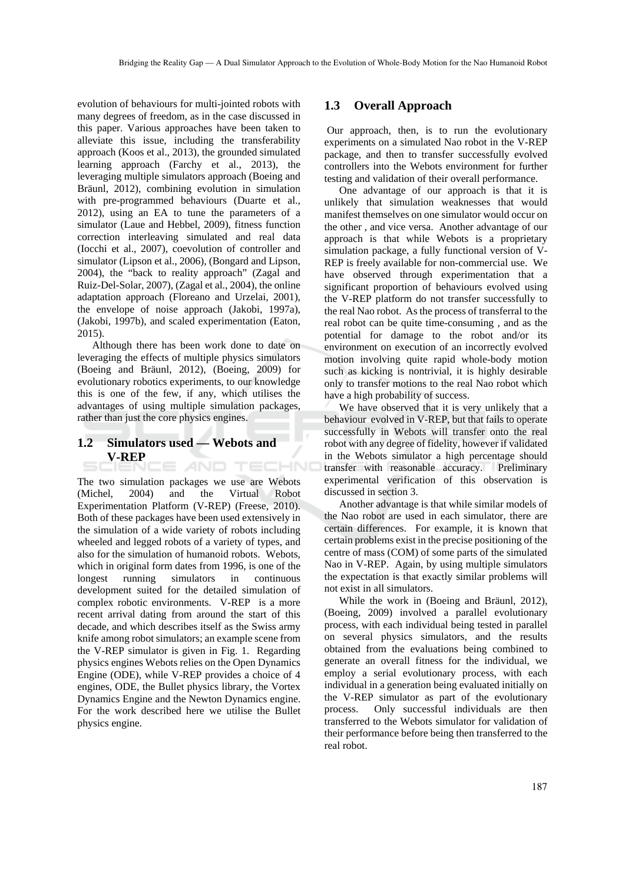evolution of behaviours for multi-jointed robots with many degrees of freedom, as in the case discussed in this paper. Various approaches have been taken to alleviate this issue, including the transferability approach (Koos et al., 2013), the grounded simulated learning approach (Farchy et al., 2013), the leveraging multiple simulators approach (Boeing and Bräunl, 2012), combining evolution in simulation with pre-programmed behaviours (Duarte et al., 2012), using an EA to tune the parameters of a simulator (Laue and Hebbel, 2009), fitness function correction interleaving simulated and real data (Iocchi et al., 2007), coevolution of controller and simulator (Lipson et al., 2006), (Bongard and Lipson, 2004), the "back to reality approach" (Zagal and Ruiz-Del-Solar, 2007), (Zagal et al., 2004), the online adaptation approach (Floreano and Urzelai, 2001), the envelope of noise approach (Jakobi, 1997a), (Jakobi, 1997b), and scaled experimentation (Eaton, 2015).

Although there has been work done to date on leveraging the effects of multiple physics simulators (Boeing and Bräunl, 2012), (Boeing, 2009) for evolutionary robotics experiments, to our knowledge this is one of the few, if any, which utilises the advantages of using multiple simulation packages, rather than just the core physics engines.

#### **1.2 Simulators used — Webots and V-REP**  AND TECHNO

The two simulation packages we use are Webots (Michel, 2004) and the Virtual Robot Experimentation Platform (V-REP) (Freese, 2010). Both of these packages have been used extensively in the simulation of a wide variety of robots including wheeled and legged robots of a variety of types, and also for the simulation of humanoid robots. Webots, which in original form dates from 1996, is one of the longest running simulators in continuous development suited for the detailed simulation of complex robotic environments. V-REP is a more recent arrival dating from around the start of this decade, and which describes itself as the Swiss army knife among robot simulators; an example scene from the V-REP simulator is given in Fig. 1. Regarding physics engines Webots relies on the Open Dynamics Engine (ODE), while V-REP provides a choice of 4 engines, ODE, the Bullet physics library, the Vortex Dynamics Engine and the Newton Dynamics engine. For the work described here we utilise the Bullet physics engine.

#### **1.3 Overall Approach**

 Our approach, then, is to run the evolutionary experiments on a simulated Nao robot in the V-REP package, and then to transfer successfully evolved controllers into the Webots environment for further testing and validation of their overall performance.

One advantage of our approach is that it is unlikely that simulation weaknesses that would manifest themselves on one simulator would occur on the other , and vice versa. Another advantage of our approach is that while Webots is a proprietary simulation package, a fully functional version of V-REP is freely available for non-commercial use. We have observed through experimentation that a significant proportion of behaviours evolved using the V-REP platform do not transfer successfully to the real Nao robot. As the process of transferral to the real robot can be quite time-consuming , and as the potential for damage to the robot and/or its environment on execution of an incorrectly evolved motion involving quite rapid whole-body motion such as kicking is nontrivial, it is highly desirable only to transfer motions to the real Nao robot which have a high probability of success.

We have observed that it is very unlikely that a behaviour evolved in V-REP, but that fails to operate successfully in Webots will transfer onto the real robot with any degree of fidelity, however if validated in the Webots simulator a high percentage should transfer with reasonable accuracy. Preliminary experimental verification of this observation is discussed in section 3.

Another advantage is that while similar models of the Nao robot are used in each simulator, there are certain differences. For example, it is known that certain problems exist in the precise positioning of the centre of mass (COM) of some parts of the simulated Nao in V-REP. Again, by using multiple simulators the expectation is that exactly similar problems will not exist in all simulators.

While the work in (Boeing and Bräunl, 2012), (Boeing, 2009) involved a parallel evolutionary process, with each individual being tested in parallel on several physics simulators, and the results obtained from the evaluations being combined to generate an overall fitness for the individual, we employ a serial evolutionary process, with each individual in a generation being evaluated initially on the V-REP simulator as part of the evolutionary process. Only successful individuals are then transferred to the Webots simulator for validation of their performance before being then transferred to the real robot.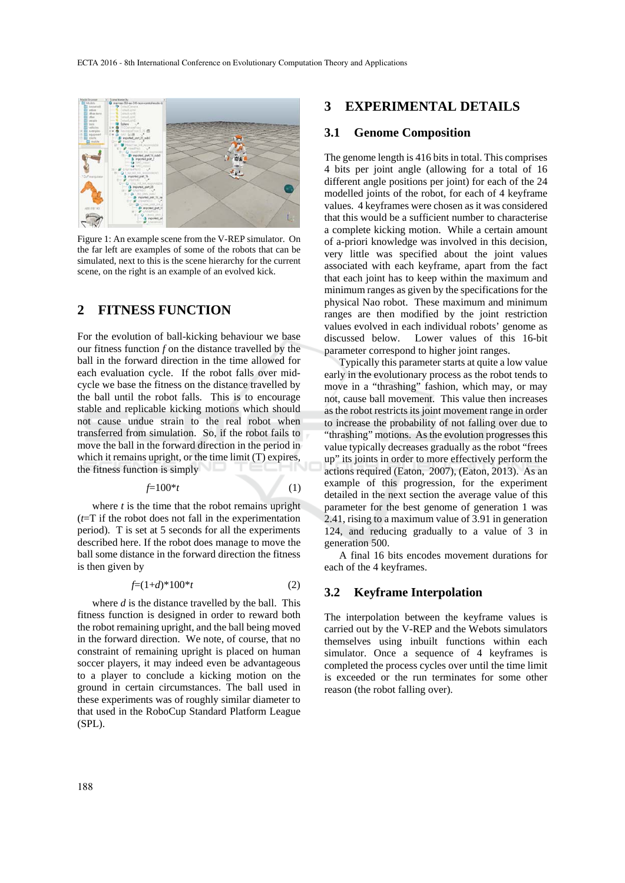

Figure 1: An example scene from the V-REP simulator. On the far left are examples of some of the robots that can be simulated, next to this is the scene hierarchy for the current scene, on the right is an example of an evolved kick.

# **2 FITNESS FUNCTION**

For the evolution of ball-kicking behaviour we base our fitness function *f* on the distance travelled by the ball in the forward direction in the time allowed for each evaluation cycle. If the robot falls over midcycle we base the fitness on the distance travelled by the ball until the robot falls. This is to encourage stable and replicable kicking motions which should not cause undue strain to the real robot when transferred from simulation. So, if the robot fails to move the ball in the forward direction in the period in which it remains upright, or the time limit (T) expires, the fitness function is simply

$$
f=100*t\tag{1}
$$

where *t* is the time that the robot remains upright (*t*=T if the robot does not fall in the experimentation period). T is set at 5 seconds for all the experiments described here. If the robot does manage to move the ball some distance in the forward direction the fitness is then given by

$$
f=(1+d)^*100^*t
$$
 (2)

where *d* is the distance travelled by the ball. This fitness function is designed in order to reward both the robot remaining upright, and the ball being moved in the forward direction. We note, of course, that no constraint of remaining upright is placed on human soccer players, it may indeed even be advantageous to a player to conclude a kicking motion on the ground in certain circumstances. The ball used in these experiments was of roughly similar diameter to that used in the RoboCup Standard Platform League (SPL).

## **3 EXPERIMENTAL DETAILS**

### **3.1 Genome Composition**

The genome length is 416 bits in total. This comprises 4 bits per joint angle (allowing for a total of 16 different angle positions per joint) for each of the 24 modelled joints of the robot, for each of 4 keyframe values. 4 keyframes were chosen as it was considered that this would be a sufficient number to characterise a complete kicking motion. While a certain amount of a-priori knowledge was involved in this decision, very little was specified about the joint values associated with each keyframe, apart from the fact that each joint has to keep within the maximum and minimum ranges as given by the specifications for the physical Nao robot. These maximum and minimum ranges are then modified by the joint restriction values evolved in each individual robots' genome as discussed below. Lower values of this 16-bit parameter correspond to higher joint ranges.

Typically this parameter starts at quite a low value early in the evolutionary process as the robot tends to move in a "thrashing" fashion, which may, or may not, cause ball movement. This value then increases as the robot restricts its joint movement range in order to increase the probability of not falling over due to "thrashing" motions. As the evolution progresses this value typically decreases gradually as the robot "frees up" its joints in order to more effectively perform the actions required (Eaton, 2007), (Eaton, 2013). As an example of this progression, for the experiment detailed in the next section the average value of this parameter for the best genome of generation 1 was 2.41, rising to a maximum value of 3.91 in generation 124, and reducing gradually to a value of 3 in generation 500.

A final 16 bits encodes movement durations for each of the 4 keyframes.

## **3.2 Keyframe Interpolation**

The interpolation between the keyframe values is carried out by the V-REP and the Webots simulators themselves using inbuilt functions within each simulator. Once a sequence of 4 keyframes is completed the process cycles over until the time limit is exceeded or the run terminates for some other reason (the robot falling over).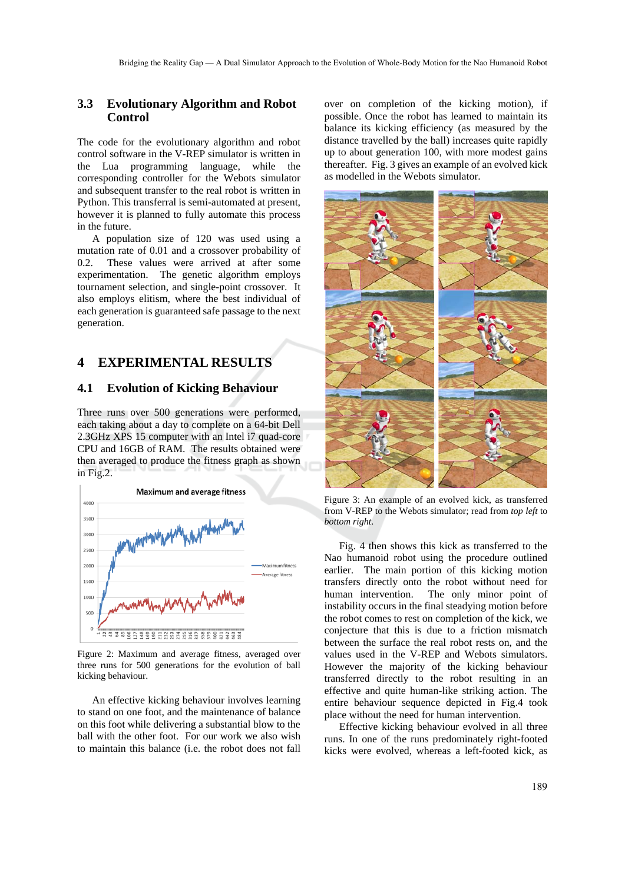## **3.3 Evolutionary Algorithm and Robot Control**

The code for the evolutionary algorithm and robot control software in the V-REP simulator is written in the Lua programming language, while the corresponding controller for the Webots simulator and subsequent transfer to the real robot is written in Python. This transferral is semi-automated at present, however it is planned to fully automate this process in the future.

A population size of 120 was used using a mutation rate of 0.01 and a crossover probability of 0.2. These values were arrived at after some experimentation. The genetic algorithm employs tournament selection, and single-point crossover. It also employs elitism, where the best individual of each generation is guaranteed safe passage to the next generation.

# **4 EXPERIMENTAL RESULTS**

#### **4.1 Evolution of Kicking Behaviour**

Three runs over 500 generations were performed, each taking about a day to complete on a 64-bit Dell 2.3GHz XPS 15 computer with an Intel i7 quad-core CPU and 16GB of RAM. The results obtained were then averaged to produce the fitness graph as shown in Fig.2.



Figure 2: Maximum and average fitness, averaged over three runs for 500 generations for the evolution of ball kicking behaviour.

An effective kicking behaviour involves learning to stand on one foot, and the maintenance of balance on this foot while delivering a substantial blow to the ball with the other foot. For our work we also wish to maintain this balance (i.e. the robot does not fall

over on completion of the kicking motion), if possible. Once the robot has learned to maintain its balance its kicking efficiency (as measured by the distance travelled by the ball) increases quite rapidly up to about generation 100, with more modest gains thereafter. Fig. 3 gives an example of an evolved kick as modelled in the Webots simulator.



Figure 3: An example of an evolved kick, as transferred from V-REP to the Webots simulator; read from *top left* to *bottom right*.

Fig. 4 then shows this kick as transferred to the Nao humanoid robot using the procedure outlined earlier. The main portion of this kicking motion transfers directly onto the robot without need for human intervention. The only minor point of instability occurs in the final steadying motion before the robot comes to rest on completion of the kick, we conjecture that this is due to a friction mismatch between the surface the real robot rests on, and the values used in the V-REP and Webots simulators. However the majority of the kicking behaviour transferred directly to the robot resulting in an effective and quite human-like striking action. The entire behaviour sequence depicted in Fig.4 took place without the need for human intervention.

Effective kicking behaviour evolved in all three runs. In one of the runs predominately right-footed kicks were evolved, whereas a left-footed kick, as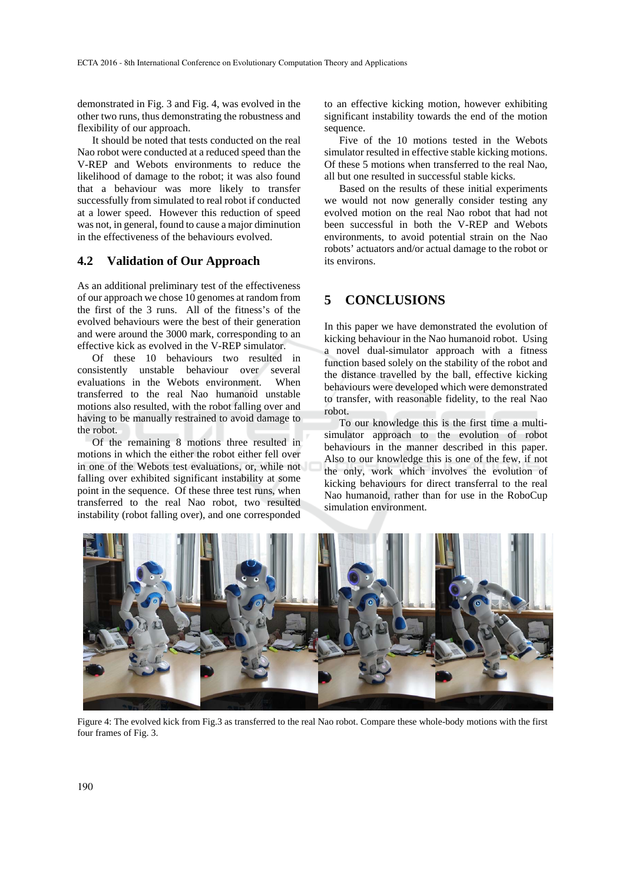demonstrated in Fig. 3 and Fig. 4, was evolved in the other two runs, thus demonstrating the robustness and flexibility of our approach.

It should be noted that tests conducted on the real Nao robot were conducted at a reduced speed than the V-REP and Webots environments to reduce the likelihood of damage to the robot; it was also found that a behaviour was more likely to transfer successfully from simulated to real robot if conducted at a lower speed. However this reduction of speed was not, in general, found to cause a major diminution in the effectiveness of the behaviours evolved.

#### **4.2 Validation of Our Approach**

As an additional preliminary test of the effectiveness of our approach we chose 10 genomes at random from the first of the 3 runs. All of the fitness's of the evolved behaviours were the best of their generation and were around the 3000 mark, corresponding to an effective kick as evolved in the V-REP simulator.

Of these 10 behaviours two resulted in consistently unstable behaviour over several evaluations in the Webots environment. When transferred to the real Nao humanoid unstable motions also resulted, with the robot falling over and having to be manually restrained to avoid damage to the robot.

Of the remaining 8 motions three resulted in motions in which the either the robot either fell over in one of the Webots test evaluations, or, while not falling over exhibited significant instability at some point in the sequence. Of these three test runs, when transferred to the real Nao robot, two resulted instability (robot falling over), and one corresponded

to an effective kicking motion, however exhibiting significant instability towards the end of the motion sequence.

Five of the 10 motions tested in the Webots simulator resulted in effective stable kicking motions. Of these 5 motions when transferred to the real Nao, all but one resulted in successful stable kicks.

Based on the results of these initial experiments we would not now generally consider testing any evolved motion on the real Nao robot that had not been successful in both the V-REP and Webots environments, to avoid potential strain on the Nao robots' actuators and/or actual damage to the robot or its environs.

## **5 CONCLUSIONS**

In this paper we have demonstrated the evolution of kicking behaviour in the Nao humanoid robot. Using a novel dual-simulator approach with a fitness function based solely on the stability of the robot and the distance travelled by the ball, effective kicking behaviours were developed which were demonstrated to transfer, with reasonable fidelity, to the real Nao robot.

To our knowledge this is the first time a multisimulator approach to the evolution of robot behaviours in the manner described in this paper. Also to our knowledge this is one of the few, if not the only, work which involves the evolution of kicking behaviours for direct transferral to the real Nao humanoid, rather than for use in the RoboCup simulation environment.



Figure 4: The evolved kick from Fig.3 as transferred to the real Nao robot. Compare these whole-body motions with the first four frames of Fig. 3.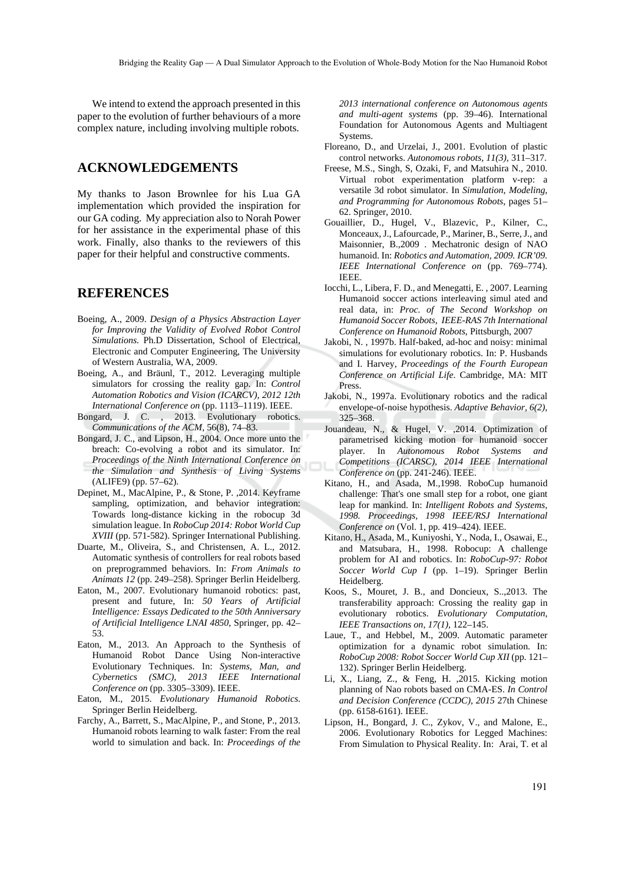We intend to extend the approach presented in this paper to the evolution of further behaviours of a more complex nature, including involving multiple robots.

## **ACKNOWLEDGEMENTS**

My thanks to Jason Brownlee for his Lua GA implementation which provided the inspiration for our GA coding. My appreciation also to Norah Power for her assistance in the experimental phase of this work. Finally, also thanks to the reviewers of this paper for their helpful and constructive comments.

## **REFERENCES**

- Boeing, A., 2009. *Design of a Physics Abstraction Layer for Improving the Validity of Evolved Robot Control Simulations.* Ph.D Dissertation, School of Electrical, Electronic and Computer Engineering, The University of Western Australia, WA, 2009.
- Boeing, A., and Bräunl, T., 2012. Leveraging multiple simulators for crossing the reality gap. In: *Control Automation Robotics and Vision (ICARCV), 2012 12th International Conference on* (pp. 1113–1119). IEEE.
- Bongard, J. C. , 2013. Evolutionary robotics. *Communications of the ACM*, 56(8), 74–83.
- Bongard, J. C., and Lipson, H., 2004. Once more unto the breach: Co-evolving a robot and its simulator. In: *Proceedings of the Ninth International Conference on the Simulation and Synthesis of Living Systems* (ALIFE9) (pp. 57–62).
- Depinet, M., MacAlpine, P., & Stone, P. ,2014. Keyframe sampling, optimization, and behavior integration: Towards long-distance kicking in the robocup 3d simulation league. In *RoboCup 2014: Robot World Cup XVIII* (pp. 571-582). Springer International Publishing.
- Duarte, M., Oliveira, S., and Christensen, A. L., 2012. Automatic synthesis of controllers for real robots based on preprogrammed behaviors. In: *From Animals to Animats 12* (pp. 249–258). Springer Berlin Heidelberg.
- Eaton, M., 2007. Evolutionary humanoid robotics: past, present and future, In: *50 Years of Artificial Intelligence: Essays Dedicated to the 50th Anniversary of Artificial Intelligence LNAI 4850*, Springer, pp. 42– 53.
- Eaton, M., 2013. An Approach to the Synthesis of Humanoid Robot Dance Using Non-interactive Evolutionary Techniques. In: *Systems, Man, and Cybernetics (SMC), 2013 IEEE International Conference on* (pp. 3305–3309). IEEE.
- Eaton, M., 2015*. Evolutionary Humanoid Robotics*. Springer Berlin Heidelberg.
- Farchy, A., Barrett, S., MacAlpine, P., and Stone, P., 2013. Humanoid robots learning to walk faster: From the real world to simulation and back. In: *Proceedings of the*

*2013 international conference on Autonomous agents and multi-agent systems* (pp. 39–46). International Foundation for Autonomous Agents and Multiagent **Systems** 

- Floreano, D., and Urzelai, J., 2001. Evolution of plastic control networks. *Autonomous robots, 11(3),* 311–317.
- Freese, M.S., Singh, S, Ozaki, F, and Matsuhira N., 2010. Virtual robot experimentation platform v-rep: a versatile 3d robot simulator. In *Simulation, Modeling, and Programming for Autonomous Robots*, pages 51– 62. Springer, 2010.
- Gouaillier, D., Hugel, V., Blazevic, P., Kilner, C., Monceaux, J., Lafourcade, P., Mariner, B., Serre, J., and Maisonnier, B.,2009 . Mechatronic design of NAO humanoid. In: *Robotics and Automation, 2009. ICR'09. IEEE International Conference on* (pp. 769–774). IEEE.
- Iocchi, L., Libera, F. D., and Menegatti, E. , 2007. Learning Humanoid soccer actions interleaving simul ated and real data, in: *Proc. of The Second Workshop on Humanoid Soccer Robots, IEEE-RAS 7th International Conference on Humanoid Robots*, Pittsburgh, 2007
- Jakobi, N. , 1997b. Half-baked, ad-hoc and noisy: minimal simulations for evolutionary robotics. In: P. Husbands and I. Harvey, *Proceedings of the Fourth European Conference on Artificial Life*. Cambridge, MA: MIT Press.
- Jakobi, N., 1997a. Evolutionary robotics and the radical envelope-of-noise hypothesis. *Adaptive Behavior, 6(2)*, 325–368.
- Jouandeau, N., & Hugel, V. ,2014. Optimization of parametrised kicking motion for humanoid soccer player. In *Autonomous Robot Systems and Competitions (ICARSC), 2014 IEEE International Conference on* (pp. 241-246). IEEE.
- Kitano, H., and Asada, M.,1998. RoboCup humanoid challenge: That's one small step for a robot, one giant leap for mankind. In: *Intelligent Robots and Systems, 1998. Proceedings, 1998 IEEE/RSJ International Conference on* (Vol. 1, pp. 419–424). IEEE.
- Kitano, H., Asada, M., Kuniyoshi, Y., Noda, I., Osawai, E., and Matsubara, H., 1998. Robocup: A challenge problem for AI and robotics. In: *RoboCup-97: Robot Soccer World Cup I* (pp. 1–19). Springer Berlin Heidelberg.
- Koos, S., Mouret, J. B., and Doncieux, S..,2013. The transferability approach: Crossing the reality gap in evolutionary robotics. *Evolutionary Computation, IEEE Transactions on, 17(1),* 122–145.
- Laue, T., and Hebbel, M., 2009. Automatic parameter optimization for a dynamic robot simulation. In: *RoboCup 2008: Robot Soccer World Cup XII* (pp. 121– 132). Springer Berlin Heidelberg.
- Li, X., Liang, Z., & Feng, H. ,2015. Kicking motion planning of Nao robots based on CMA-ES. *In Control and Decision Conference (CCDC), 2015* 27th Chinese (pp. 6158-6161). IEEE.
- Lipson, H., Bongard, J. C., Zykov, V., and Malone, E., 2006. Evolutionary Robotics for Legged Machines: From Simulation to Physical Reality. In: Arai, T. et al